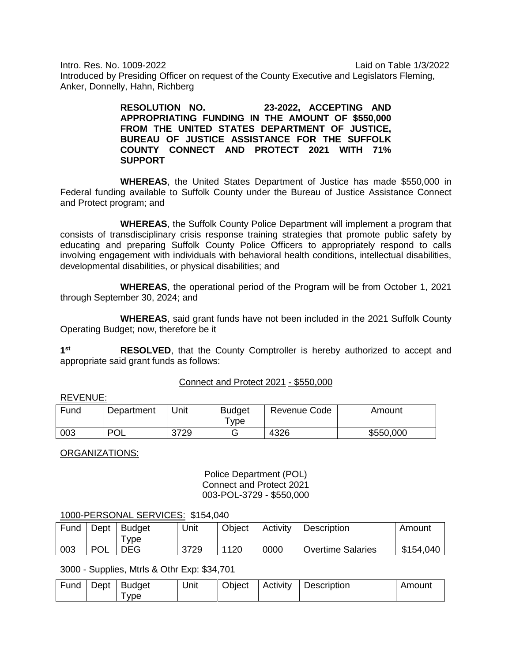Intro. Res. No. 1009-2022 Laid on Table 1/3/2022

Introduced by Presiding Officer on request of the County Executive and Legislators Fleming, Anker, Donnelly, Hahn, Richberg

> **RESOLUTION NO. 23-2022, ACCEPTING AND APPROPRIATING FUNDING IN THE AMOUNT OF \$550,000 FROM THE UNITED STATES DEPARTMENT OF JUSTICE, BUREAU OF JUSTICE ASSISTANCE FOR THE SUFFOLK COUNTY CONNECT AND PROTECT 2021 WITH 71% SUPPORT**

**WHEREAS**, the United States Department of Justice has made \$550,000 in Federal funding available to Suffolk County under the Bureau of Justice Assistance Connect and Protect program; and

**WHEREAS**, the Suffolk County Police Department will implement a program that consists of transdisciplinary crisis response training strategies that promote public safety by educating and preparing Suffolk County Police Officers to appropriately respond to calls involving engagement with individuals with behavioral health conditions, intellectual disabilities, developmental disabilities, or physical disabilities; and

**WHEREAS**, the operational period of the Program will be from October 1, 2021 through September 30, 2024; and

**WHEREAS**, said grant funds have not been included in the 2021 Suffolk County Operating Budget; now, therefore be it

**1st RESOLVED**, that the County Comptroller is hereby authorized to accept and appropriate said grant funds as follows:

# Connect and Protect 2021 - \$550,000

## REVENUE:

| Fund | Department | Unit | <b>Budget</b><br>™ype | Revenue Code | Amount    |
|------|------------|------|-----------------------|--------------|-----------|
| 003  | וחם<br>ົ∪∟ | 3729 |                       | 4326         | \$550,000 |

ORGANIZATIONS:

Police Department (POL) Connect and Protect 2021 003-POL-3729 - \$550,000

## 1000-PERSONAL SERVICES: \$154,040

| Fund | Dept       | <b>Budget</b><br><b>vpe</b> | Unit | Object | Activity | Description              | Amount    |
|------|------------|-----------------------------|------|--------|----------|--------------------------|-----------|
| 003  | <b>POL</b> | <b>DEG</b>                  | 3729 | 1120   | 0000     | <b>Overtime Salaries</b> | \$154,040 |

# 3000 - Supplies, Mtrls & Othr Exp: \$34,701

| Fund | Dept | Budget | Unit | Object | Activity | Description | Amount |
|------|------|--------|------|--------|----------|-------------|--------|
|      |      | vpe    |      |        |          |             |        |